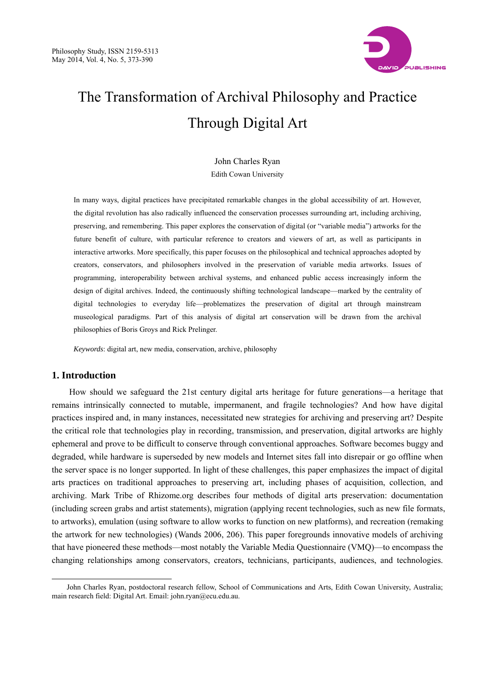

# The Transformation of Archival Philosophy and Practice Through Digital Art

John Charles Ryan Edith Cowan University

In many ways, digital practices have precipitated remarkable changes in the global accessibility of art. However, the digital revolution has also radically influenced the conservation processes surrounding art, including archiving, preserving, and remembering. This paper explores the conservation of digital (or "variable media") artworks for the future benefit of culture, with particular reference to creators and viewers of art, as well as participants in interactive artworks. More specifically, this paper focuses on the philosophical and technical approaches adopted by creators, conservators, and philosophers involved in the preservation of variable media artworks. Issues of programming, interoperability between archival systems, and enhanced public access increasingly inform the design of digital archives. Indeed, the continuously shifting technological landscape—marked by the centrality of digital technologies to everyday life—problematizes the preservation of digital art through mainstream museological paradigms. Part of this analysis of digital art conservation will be drawn from the archival philosophies of Boris Groys and Rick Prelinger.

*Keywords*: digital art, new media, conservation, archive, philosophy

## **1. Introduction**

How should we safeguard the 21st century digital arts heritage for future generations—a heritage that remains intrinsically connected to mutable, impermanent, and fragile technologies? And how have digital practices inspired and, in many instances, necessitated new strategies for archiving and preserving art? Despite the critical role that technologies play in recording, transmission, and preservation, digital artworks are highly ephemeral and prove to be difficult to conserve through conventional approaches. Software becomes buggy and degraded, while hardware is superseded by new models and Internet sites fall into disrepair or go offline when the server space is no longer supported. In light of these challenges, this paper emphasizes the impact of digital arts practices on traditional approaches to preserving art, including phases of acquisition, collection, and archiving. Mark Tribe of Rhizome.org describes four methods of digital arts preservation: documentation (including screen grabs and artist statements), migration (applying recent technologies, such as new file formats, to artworks), emulation (using software to allow works to function on new platforms), and recreation (remaking the artwork for new technologies) (Wands 2006, 206). This paper foregrounds innovative models of archiving that have pioneered these methods—most notably the Variable Media Questionnaire (VMQ)—to encompass the changing relationships among conservators, creators, technicians, participants, audiences, and technologies.

 $\overline{a}$ John Charles Ryan, postdoctoral research fellow, School of Communications and Arts, Edith Cowan University, Australia; main research field: Digital Art. Email: john.ryan@ecu.edu.au.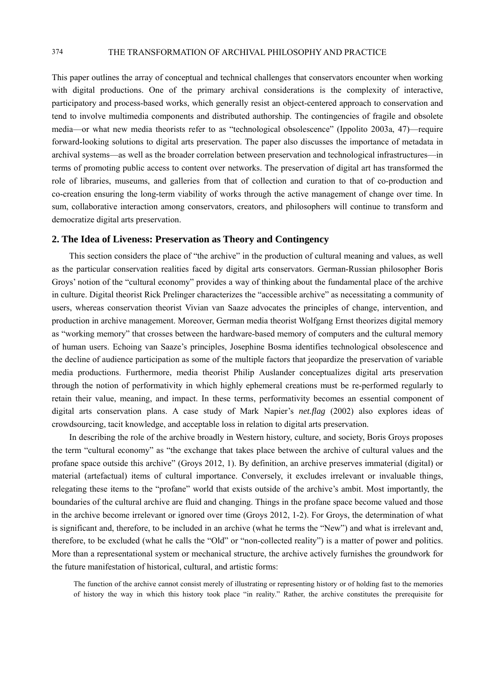This paper outlines the array of conceptual and technical challenges that conservators encounter when working with digital productions. One of the primary archival considerations is the complexity of interactive, participatory and process-based works, which generally resist an object-centered approach to conservation and tend to involve multimedia components and distributed authorship. The contingencies of fragile and obsolete media—or what new media theorists refer to as "technological obsolescence" (Ippolito 2003a, 47)—require forward-looking solutions to digital arts preservation. The paper also discusses the importance of metadata in archival systems—as well as the broader correlation between preservation and technological infrastructures—in terms of promoting public access to content over networks. The preservation of digital art has transformed the role of libraries, museums, and galleries from that of collection and curation to that of co-production and co-creation ensuring the long-term viability of works through the active management of change over time. In sum, collaborative interaction among conservators, creators, and philosophers will continue to transform and democratize digital arts preservation.

### **2. The Idea of Liveness: Preservation as Theory and Contingency**

This section considers the place of "the archive" in the production of cultural meaning and values, as well as the particular conservation realities faced by digital arts conservators. German-Russian philosopher Boris Groys' notion of the "cultural economy" provides a way of thinking about the fundamental place of the archive in culture. Digital theorist Rick Prelinger characterizes the "accessible archive" as necessitating a community of users, whereas conservation theorist Vivian van Saaze advocates the principles of change, intervention, and production in archive management. Moreover, German media theorist Wolfgang Ernst theorizes digital memory as "working memory" that crosses between the hardware-based memory of computers and the cultural memory of human users. Echoing van Saaze's principles, Josephine Bosma identifies technological obsolescence and the decline of audience participation as some of the multiple factors that jeopardize the preservation of variable media productions. Furthermore, media theorist Philip Auslander conceptualizes digital arts preservation through the notion of performativity in which highly ephemeral creations must be re-performed regularly to retain their value, meaning, and impact. In these terms, performativity becomes an essential component of digital arts conservation plans. A case study of Mark Napier's *net.flag* (2002) also explores ideas of crowdsourcing, tacit knowledge, and acceptable loss in relation to digital arts preservation.

In describing the role of the archive broadly in Western history, culture, and society, Boris Groys proposes the term "cultural economy" as "the exchange that takes place between the archive of cultural values and the profane space outside this archive" (Groys 2012, 1). By definition, an archive preserves immaterial (digital) or material (artefactual) items of cultural importance. Conversely, it excludes irrelevant or invaluable things, relegating these items to the "profane" world that exists outside of the archive's ambit. Most importantly, the boundaries of the cultural archive are fluid and changing. Things in the profane space become valued and those in the archive become irrelevant or ignored over time (Groys 2012, 1-2). For Groys, the determination of what is significant and, therefore, to be included in an archive (what he terms the "New") and what is irrelevant and, therefore, to be excluded (what he calls the "Old" or "non-collected reality") is a matter of power and politics. More than a representational system or mechanical structure, the archive actively furnishes the groundwork for the future manifestation of historical, cultural, and artistic forms:

The function of the archive cannot consist merely of illustrating or representing history or of holding fast to the memories of history the way in which this history took place "in reality." Rather, the archive constitutes the prerequisite for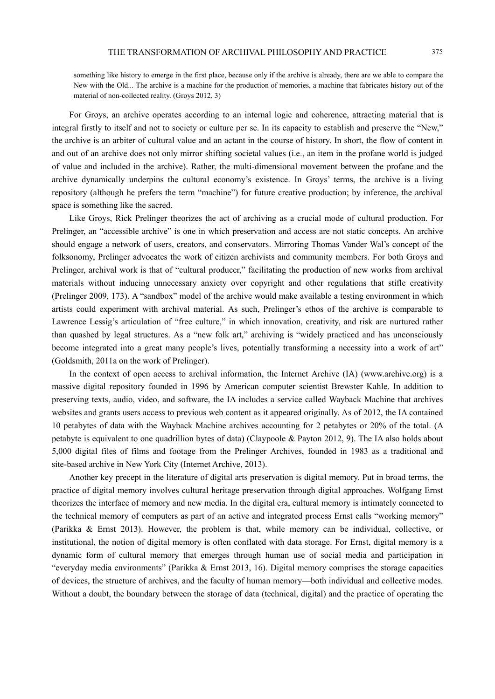something like history to emerge in the first place, because only if the archive is already, there are we able to compare the New with the Old... The archive is a machine for the production of memories, a machine that fabricates history out of the material of non-collected reality. (Groys 2012, 3)

For Groys, an archive operates according to an internal logic and coherence, attracting material that is integral firstly to itself and not to society or culture per se. In its capacity to establish and preserve the "New," the archive is an arbiter of cultural value and an actant in the course of history. In short, the flow of content in and out of an archive does not only mirror shifting societal values (i.e., an item in the profane world is judged of value and included in the archive). Rather, the multi-dimensional movement between the profane and the archive dynamically underpins the cultural economy's existence. In Groys' terms, the archive is a living repository (although he prefers the term "machine") for future creative production; by inference, the archival space is something like the sacred.

Like Groys, Rick Prelinger theorizes the act of archiving as a crucial mode of cultural production. For Prelinger, an "accessible archive" is one in which preservation and access are not static concepts. An archive should engage a network of users, creators, and conservators. Mirroring Thomas Vander Wal's concept of the folksonomy, Prelinger advocates the work of citizen archivists and community members. For both Groys and Prelinger, archival work is that of "cultural producer," facilitating the production of new works from archival materials without inducing unnecessary anxiety over copyright and other regulations that stifle creativity (Prelinger 2009, 173). A "sandbox" model of the archive would make available a testing environment in which artists could experiment with archival material. As such, Prelinger's ethos of the archive is comparable to Lawrence Lessig's articulation of "free culture," in which innovation, creativity, and risk are nurtured rather than quashed by legal structures. As a "new folk art," archiving is "widely practiced and has unconsciously become integrated into a great many people's lives, potentially transforming a necessity into a work of art" (Goldsmith, 2011a on the work of Prelinger).

In the context of open access to archival information, the Internet Archive (IA) (www.archive.org) is a massive digital repository founded in 1996 by American computer scientist Brewster Kahle. In addition to preserving texts, audio, video, and software, the IA includes a service called Wayback Machine that archives websites and grants users access to previous web content as it appeared originally. As of 2012, the IA contained 10 petabytes of data with the Wayback Machine archives accounting for 2 petabytes or 20% of the total. (A petabyte is equivalent to one quadrillion bytes of data) (Claypoole & Payton 2012, 9). The IA also holds about 5,000 digital files of films and footage from the Prelinger Archives, founded in 1983 as a traditional and site-based archive in New York City (Internet Archive, 2013).

Another key precept in the literature of digital arts preservation is digital memory. Put in broad terms, the practice of digital memory involves cultural heritage preservation through digital approaches. Wolfgang Ernst theorizes the interface of memory and new media. In the digital era, cultural memory is intimately connected to the technical memory of computers as part of an active and integrated process Ernst calls "working memory" (Parikka & Ernst 2013). However, the problem is that, while memory can be individual, collective, or institutional, the notion of digital memory is often conflated with data storage. For Ernst, digital memory is a dynamic form of cultural memory that emerges through human use of social media and participation in "everyday media environments" (Parikka & Ernst 2013, 16). Digital memory comprises the storage capacities of devices, the structure of archives, and the faculty of human memory—both individual and collective modes. Without a doubt, the boundary between the storage of data (technical, digital) and the practice of operating the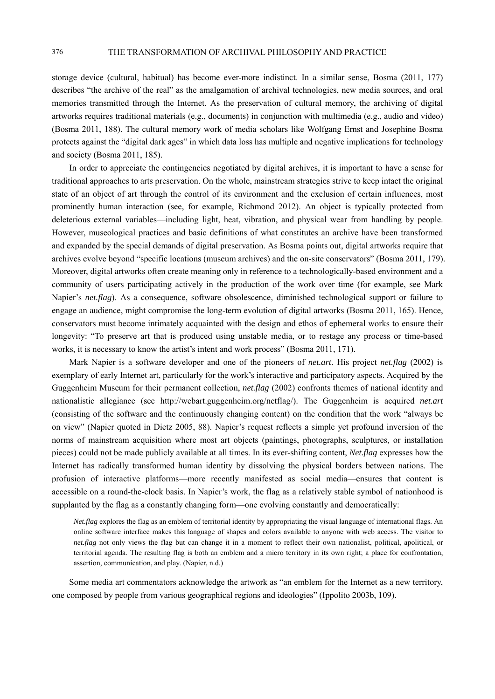storage device (cultural, habitual) has become ever-more indistinct. In a similar sense, Bosma (2011, 177) describes "the archive of the real" as the amalgamation of archival technologies, new media sources, and oral memories transmitted through the Internet. As the preservation of cultural memory, the archiving of digital artworks requires traditional materials (e.g., documents) in conjunction with multimedia (e.g., audio and video) (Bosma 2011, 188). The cultural memory work of media scholars like Wolfgang Ernst and Josephine Bosma protects against the "digital dark ages" in which data loss has multiple and negative implications for technology and society (Bosma 2011, 185).

In order to appreciate the contingencies negotiated by digital archives, it is important to have a sense for traditional approaches to arts preservation. On the whole, mainstream strategies strive to keep intact the original state of an object of art through the control of its environment and the exclusion of certain influences, most prominently human interaction (see, for example, Richmond 2012). An object is typically protected from deleterious external variables—including light, heat, vibration, and physical wear from handling by people. However, museological practices and basic definitions of what constitutes an archive have been transformed and expanded by the special demands of digital preservation. As Bosma points out, digital artworks require that archives evolve beyond "specific locations (museum archives) and the on-site conservators" (Bosma 2011, 179). Moreover, digital artworks often create meaning only in reference to a technologically-based environment and a community of users participating actively in the production of the work over time (for example, see Mark Napier's *net.flag*). As a consequence, software obsolescence, diminished technological support or failure to engage an audience, might compromise the long-term evolution of digital artworks (Bosma 2011, 165). Hence, conservators must become intimately acquainted with the design and ethos of ephemeral works to ensure their longevity: "To preserve art that is produced using unstable media, or to restage any process or time-based works, it is necessary to know the artist's intent and work process" (Bosma 2011, 171).

Mark Napier is a software developer and one of the pioneers of *net.art*. His project *net.flag* (2002) is exemplary of early Internet art, particularly for the work's interactive and participatory aspects. Acquired by the Guggenheim Museum for their permanent collection, *net.flag* (2002) confronts themes of national identity and nationalistic allegiance (see http://webart.guggenheim.org/netflag/). The Guggenheim is acquired *net.art* (consisting of the software and the continuously changing content) on the condition that the work "always be on view" (Napier quoted in Dietz 2005, 88). Napier's request reflects a simple yet profound inversion of the norms of mainstream acquisition where most art objects (paintings, photographs, sculptures, or installation pieces) could not be made publicly available at all times. In its ever-shifting content, *Net.flag* expresses how the Internet has radically transformed human identity by dissolving the physical borders between nations. The profusion of interactive platforms—more recently manifested as social media—ensures that content is accessible on a round-the-clock basis. In Napier's work, the flag as a relatively stable symbol of nationhood is supplanted by the flag as a constantly changing form—one evolving constantly and democratically:

*Net.flag* explores the flag as an emblem of territorial identity by appropriating the visual language of international flags. An online software interface makes this language of shapes and colors available to anyone with web access. The visitor to *net.flag* not only views the flag but can change it in a moment to reflect their own nationalist, political, apolitical, or territorial agenda. The resulting flag is both an emblem and a micro territory in its own right; a place for confrontation, assertion, communication, and play. (Napier, n.d.)

Some media art commentators acknowledge the artwork as "an emblem for the Internet as a new territory, one composed by people from various geographical regions and ideologies" (Ippolito 2003b, 109).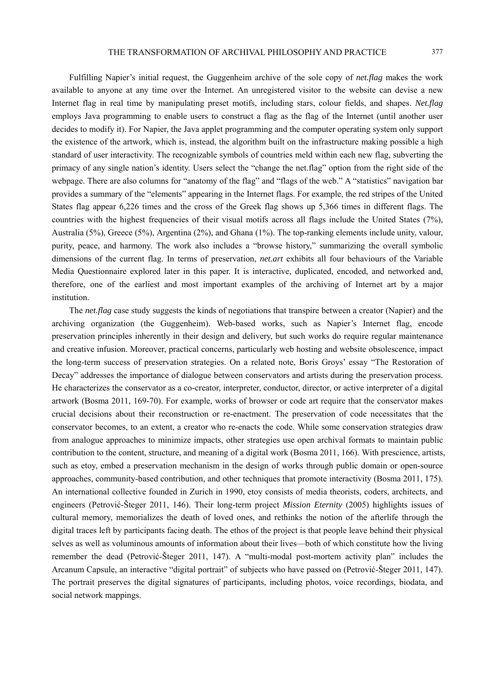Fulfilling Napier's initial request, the Guggenheim archive of the sole copy of *net.flag* makes the work available to anyone at any time over the Internet. An unregistered visitor to the website can devise a new Internet flag in real time by manipulating preset motifs, including stars, colour fields, and shapes. *Net.flag* employs Java programming to enable users to construct a flag as the flag of the Internet (until another user decides to modify it). For Napier, the Java applet programming and the computer operating system only support the existence of the artwork, which is, instead, the algorithm built on the infrastructure making possible a high standard of user interactivity. The recognizable symbols of countries meld within each new flag, subverting the primacy of any single nation's identity. Users select the "change the net.flag" option from the right side of the webpage. There are also columns for "anatomy of the flag" and "flags of the web." A "statistics" navigation bar provides a summary of the "elements" appearing in the Internet flags. For example, the red stripes of the United States flag appear 6,226 times and the cross of the Greek flag shows up 5,366 times in different flags. The countries with the highest frequencies of their visual motifs across all flags include the United States (7%), Australia (5%), Greece (5%), Argentina (2%), and Ghana (1%). The top-ranking elements include unity, valour, purity, peace, and harmony. The work also includes a "browse history," summarizing the overall symbolic dimensions of the current flag. In terms of preservation, *net.art* exhibits all four behaviours of the Variable Media Questionnaire explored later in this paper. It is interactive, duplicated, encoded, and networked and, therefore, one of the earliest and most important examples of the archiving of Internet art by a major institution.

The *net.flag* case study suggests the kinds of negotiations that transpire between a creator (Napier) and the archiving organization (the Guggenheim). Web-based works, such as Napier's Internet flag, encode preservation principles inherently in their design and delivery, but such works do require regular maintenance and creative infusion. Moreover, practical concerns, particularly web hosting and website obsolescence, impact the long-term success of preservation strategies. On a related note, Boris Groys' essay "The Restoration of Decay" addresses the importance of dialogue between conservators and artists during the preservation process. He characterizes the conservator as a co-creator, interpreter, conductor, director, or active interpreter of a digital artwork (Bosma 2011, 169-70). For example, works of browser or code art require that the conservator makes crucial decisions about their reconstruction or re-enactment. The preservation of code necessitates that the conservator becomes, to an extent, a creator who re-enacts the code. While some conservation strategies draw from analogue approaches to minimize impacts, other strategies use open archival formats to maintain public contribution to the content, structure, and meaning of a digital work (Bosma 2011, 166). With prescience, artists, such as etoy, embed a preservation mechanism in the design of works through public domain or open-source approaches, community-based contribution, and other techniques that promote interactivity (Bosma 2011, 175). An international collective founded in Zurich in 1990, etoy consists of media theorists, coders, architects, and engineers (Petrović-Šteger 2011, 146). Their long-term project *Mission Eternity* (2005) highlights issues of cultural memory, memorializes the death of loved ones, and rethinks the notion of the afterlife through the digital traces left by participants facing death. The ethos of the project is that people leave behind their physical selves as well as voluminous amounts of information about their lives—both of which constitute how the living remember the dead (Petrović-Šteger 2011, 147). A "multi-modal post-mortem activity plan" includes the Arcanum Capsule, an interactive "digital portrait" of subjects who have passed on (Petrović-Šteger 2011, 147). The portrait preserves the digital signatures of participants, including photos, voice recordings, biodata, and social network mappings.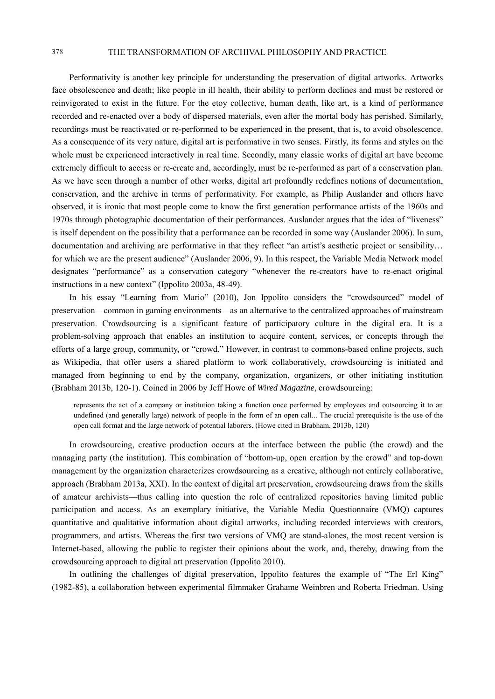#### 378 THE TRANSFORMATION OF ARCHIVAL PHILOSOPHY AND PRACTICE

Performativity is another key principle for understanding the preservation of digital artworks. Artworks face obsolescence and death; like people in ill health, their ability to perform declines and must be restored or reinvigorated to exist in the future. For the etoy collective, human death, like art, is a kind of performance recorded and re-enacted over a body of dispersed materials, even after the mortal body has perished. Similarly, recordings must be reactivated or re-performed to be experienced in the present, that is, to avoid obsolescence. As a consequence of its very nature, digital art is performative in two senses. Firstly, its forms and styles on the whole must be experienced interactively in real time. Secondly, many classic works of digital art have become extremely difficult to access or re-create and, accordingly, must be re-performed as part of a conservation plan. As we have seen through a number of other works, digital art profoundly redefines notions of documentation, conservation, and the archive in terms of performativity. For example, as Philip Auslander and others have observed, it is ironic that most people come to know the first generation performance artists of the 1960s and 1970s through photographic documentation of their performances. Auslander argues that the idea of "liveness" is itself dependent on the possibility that a performance can be recorded in some way (Auslander 2006). In sum, documentation and archiving are performative in that they reflect "an artist's aesthetic project or sensibility… for which we are the present audience" (Auslander 2006, 9). In this respect, the Variable Media Network model designates "performance" as a conservation category "whenever the re-creators have to re-enact original instructions in a new context" (Ippolito 2003a, 48-49).

In his essay "Learning from Mario" (2010), Jon Ippolito considers the "crowdsourced" model of preservation—common in gaming environments—as an alternative to the centralized approaches of mainstream preservation. Crowdsourcing is a significant feature of participatory culture in the digital era. It is a problem-solving approach that enables an institution to acquire content, services, or concepts through the efforts of a large group, community, or "crowd." However, in contrast to commons-based online projects, such as Wikipedia, that offer users a shared platform to work collaboratively, crowdsourcing is initiated and managed from beginning to end by the company, organization, organizers, or other initiating institution (Brabham 2013b, 120-1). Coined in 2006 by Jeff Howe of *Wired Magazine*, crowdsourcing:

represents the act of a company or institution taking a function once performed by employees and outsourcing it to an undefined (and generally large) network of people in the form of an open call... The crucial prerequisite is the use of the open call format and the large network of potential laborers. (Howe cited in Brabham, 2013b, 120)

In crowdsourcing, creative production occurs at the interface between the public (the crowd) and the managing party (the institution). This combination of "bottom-up, open creation by the crowd" and top-down management by the organization characterizes crowdsourcing as a creative, although not entirely collaborative, approach (Brabham 2013a, XXI). In the context of digital art preservation, crowdsourcing draws from the skills of amateur archivists—thus calling into question the role of centralized repositories having limited public participation and access. As an exemplary initiative, the Variable Media Questionnaire (VMQ) captures quantitative and qualitative information about digital artworks, including recorded interviews with creators, programmers, and artists. Whereas the first two versions of VMQ are stand-alones, the most recent version is Internet-based, allowing the public to register their opinions about the work, and, thereby, drawing from the crowdsourcing approach to digital art preservation (Ippolito 2010).

In outlining the challenges of digital preservation, Ippolito features the example of "The Erl King" (1982-85), a collaboration between experimental filmmaker Grahame Weinbren and Roberta Friedman. Using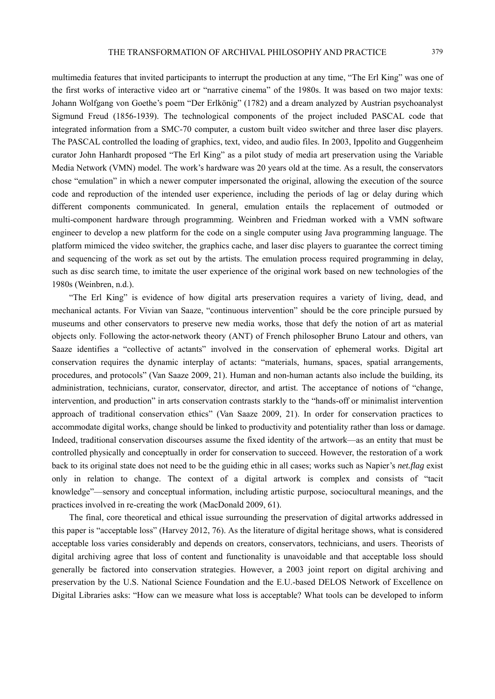multimedia features that invited participants to interrupt the production at any time, "The Erl King" was one of the first works of interactive video art or "narrative cinema" of the 1980s. It was based on two major texts: Johann Wolfgang von Goethe's poem "Der Erlkönig" (1782) and a dream analyzed by Austrian psychoanalyst Sigmund Freud (1856-1939). The technological components of the project included PASCAL code that integrated information from a SMC-70 computer, a custom built video switcher and three laser disc players. The PASCAL controlled the loading of graphics, text, video, and audio files. In 2003, Ippolito and Guggenheim curator John Hanhardt proposed "The Erl King" as a pilot study of media art preservation using the Variable Media Network (VMN) model. The work's hardware was 20 years old at the time. As a result, the conservators chose "emulation" in which a newer computer impersonated the original, allowing the execution of the source code and reproduction of the intended user experience, including the periods of lag or delay during which different components communicated. In general, emulation entails the replacement of outmoded or multi-component hardware through programming. Weinbren and Friedman worked with a VMN software engineer to develop a new platform for the code on a single computer using Java programming language. The platform mimiced the video switcher, the graphics cache, and laser disc players to guarantee the correct timing and sequencing of the work as set out by the artists. The emulation process required programming in delay, such as disc search time, to imitate the user experience of the original work based on new technologies of the 1980s (Weinbren, n.d.).

"The Erl King" is evidence of how digital arts preservation requires a variety of living, dead, and mechanical actants. For Vivian van Saaze, "continuous intervention" should be the core principle pursued by museums and other conservators to preserve new media works, those that defy the notion of art as material objects only. Following the actor-network theory (ANT) of French philosopher Bruno Latour and others, van Saaze identifies a "collective of actants" involved in the conservation of ephemeral works. Digital art conservation requires the dynamic interplay of actants: "materials, humans, spaces, spatial arrangements, procedures, and protocols" (Van Saaze 2009, 21). Human and non-human actants also include the building, its administration, technicians, curator, conservator, director, and artist. The acceptance of notions of "change, intervention, and production" in arts conservation contrasts starkly to the "hands-off or minimalist intervention approach of traditional conservation ethics" (Van Saaze 2009, 21). In order for conservation practices to accommodate digital works, change should be linked to productivity and potentiality rather than loss or damage. Indeed, traditional conservation discourses assume the fixed identity of the artwork—as an entity that must be controlled physically and conceptually in order for conservation to succeed. However, the restoration of a work back to its original state does not need to be the guiding ethic in all cases; works such as Napier's *net.flag* exist only in relation to change. The context of a digital artwork is complex and consists of "tacit knowledge"—sensory and conceptual information, including artistic purpose, sociocultural meanings, and the practices involved in re-creating the work (MacDonald 2009, 61).

The final, core theoretical and ethical issue surrounding the preservation of digital artworks addressed in this paper is "acceptable loss" (Harvey 2012, 76). As the literature of digital heritage shows, what is considered acceptable loss varies considerably and depends on creators, conservators, technicians, and users. Theorists of digital archiving agree that loss of content and functionality is unavoidable and that acceptable loss should generally be factored into conservation strategies. However, a 2003 joint report on digital archiving and preservation by the U.S. National Science Foundation and the E.U.-based DELOS Network of Excellence on Digital Libraries asks: "How can we measure what loss is acceptable? What tools can be developed to inform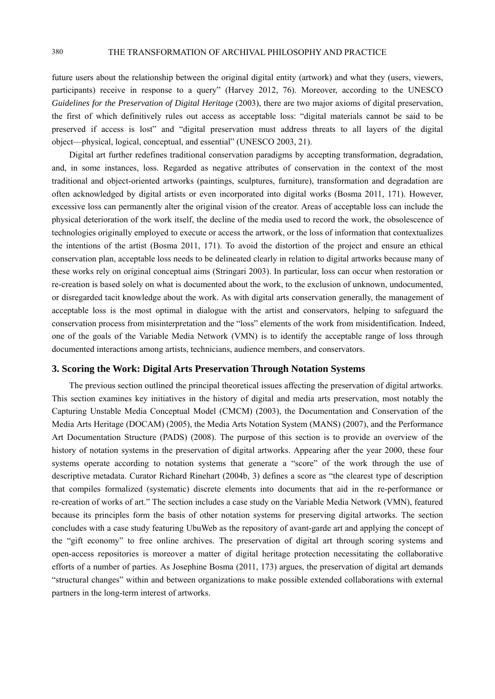future users about the relationship between the original digital entity (artwork) and what they (users, viewers, participants) receive in response to a query" (Harvey 2012, 76). Moreover, according to the UNESCO *Guidelines for the Preservation of Digital Heritage* (2003), there are two major axioms of digital preservation, the first of which definitively rules out access as acceptable loss: "digital materials cannot be said to be preserved if access is lost" and "digital preservation must address threats to all layers of the digital object—physical, logical, conceptual, and essential" (UNESCO 2003, 21).

Digital art further redefines traditional conservation paradigms by accepting transformation, degradation, and, in some instances, loss. Regarded as negative attributes of conservation in the context of the most traditional and object-oriented artworks (paintings, sculptures, furniture), transformation and degradation are often acknowledged by digital artists or even incorporated into digital works (Bosma 2011, 171). However, excessive loss can permanently alter the original vision of the creator. Areas of acceptable loss can include the physical deterioration of the work itself, the decline of the media used to record the work, the obsolescence of technologies originally employed to execute or access the artwork, or the loss of information that contextualizes the intentions of the artist (Bosma 2011, 171). To avoid the distortion of the project and ensure an ethical conservation plan, acceptable loss needs to be delineated clearly in relation to digital artworks because many of these works rely on original conceptual aims (Stringari 2003). In particular, loss can occur when restoration or re-creation is based solely on what is documented about the work, to the exclusion of unknown, undocumented, or disregarded tacit knowledge about the work. As with digital arts conservation generally, the management of acceptable loss is the most optimal in dialogue with the artist and conservators, helping to safeguard the conservation process from misinterpretation and the "loss" elements of the work from misidentification. Indeed, one of the goals of the Variable Media Network (VMN) is to identify the acceptable range of loss through documented interactions among artists, technicians, audience members, and conservators.

### **3. Scoring the Work: Digital Arts Preservation Through Notation Systems**

The previous section outlined the principal theoretical issues affecting the preservation of digital artworks. This section examines key initiatives in the history of digital and media arts preservation, most notably the Capturing Unstable Media Conceptual Model (CMCM) (2003), the Documentation and Conservation of the Media Arts Heritage (DOCAM) (2005), the Media Arts Notation System (MANS) (2007), and the Performance Art Documentation Structure (PADS) (2008). The purpose of this section is to provide an overview of the history of notation systems in the preservation of digital artworks. Appearing after the year 2000, these four systems operate according to notation systems that generate a "score" of the work through the use of descriptive metadata. Curator Richard Rinehart (2004b, 3) defines a score as "the clearest type of description that compiles formalized (systematic) discrete elements into documents that aid in the re-performance or re-creation of works of art." The section includes a case study on the Variable Media Network (VMN), featured because its principles form the basis of other notation systems for preserving digital artworks. The section concludes with a case study featuring UbuWeb as the repository of avant-garde art and applying the concept of the "gift economy" to free online archives. The preservation of digital art through scoring systems and open-access repositories is moreover a matter of digital heritage protection necessitating the collaborative efforts of a number of parties. As Josephine Bosma (2011, 173) argues, the preservation of digital art demands "structural changes" within and between organizations to make possible extended collaborations with external partners in the long-term interest of artworks.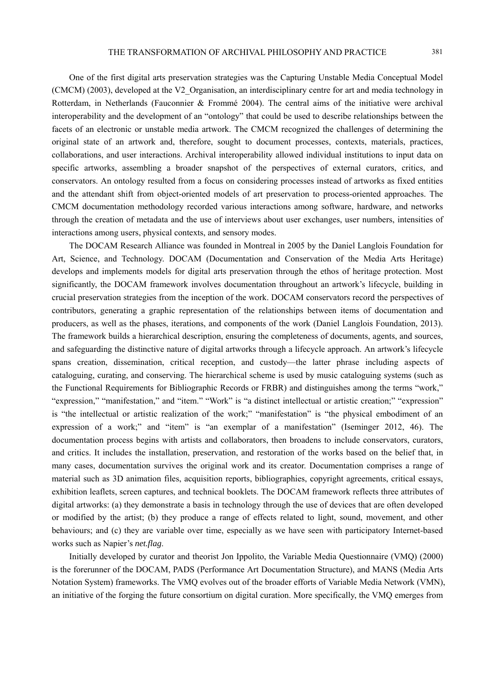One of the first digital arts preservation strategies was the Capturing Unstable Media Conceptual Model (CMCM) (2003), developed at the V2\_Organisation, an interdisciplinary centre for art and media technology in Rotterdam, in Netherlands (Fauconnier & Frommé 2004). The central aims of the initiative were archival interoperability and the development of an "ontology" that could be used to describe relationships between the facets of an electronic or unstable media artwork. The CMCM recognized the challenges of determining the original state of an artwork and, therefore, sought to document processes, contexts, materials, practices, collaborations, and user interactions. Archival interoperability allowed individual institutions to input data on specific artworks, assembling a broader snapshot of the perspectives of external curators, critics, and conservators. An ontology resulted from a focus on considering processes instead of artworks as fixed entities and the attendant shift from object-oriented models of art preservation to process-oriented approaches. The CMCM documentation methodology recorded various interactions among software, hardware, and networks through the creation of metadata and the use of interviews about user exchanges, user numbers, intensities of interactions among users, physical contexts, and sensory modes.

The DOCAM Research Alliance was founded in Montreal in 2005 by the Daniel Langlois Foundation for Art, Science, and Technology. DOCAM (Documentation and Conservation of the Media Arts Heritage) develops and implements models for digital arts preservation through the ethos of heritage protection. Most significantly, the DOCAM framework involves documentation throughout an artwork's lifecycle, building in crucial preservation strategies from the inception of the work. DOCAM conservators record the perspectives of contributors, generating a graphic representation of the relationships between items of documentation and producers, as well as the phases, iterations, and components of the work (Daniel Langlois Foundation, 2013). The framework builds a hierarchical description, ensuring the completeness of documents, agents, and sources, and safeguarding the distinctive nature of digital artworks through a lifecycle approach. An artwork's lifecycle spans creation, dissemination, critical reception, and custody—the latter phrase including aspects of cataloguing, curating, and conserving. The hierarchical scheme is used by music cataloguing systems (such as the Functional Requirements for Bibliographic Records or FRBR) and distinguishes among the terms "work," "expression," "manifestation," and "item." "Work" is "a distinct intellectual or artistic creation;" "expression" is "the intellectual or artistic realization of the work;" "manifestation" is "the physical embodiment of an expression of a work;" and "item" is "an exemplar of a manifestation" (Iseminger 2012, 46). The documentation process begins with artists and collaborators, then broadens to include conservators, curators, and critics. It includes the installation, preservation, and restoration of the works based on the belief that, in many cases, documentation survives the original work and its creator. Documentation comprises a range of material such as 3D animation files, acquisition reports, bibliographies, copyright agreements, critical essays, exhibition leaflets, screen captures, and technical booklets. The DOCAM framework reflects three attributes of digital artworks: (a) they demonstrate a basis in technology through the use of devices that are often developed or modified by the artist; (b) they produce a range of effects related to light, sound, movement, and other behaviours; and (c) they are variable over time, especially as we have seen with participatory Internet-based works such as Napier's *net.flag*.

Initially developed by curator and theorist Jon Ippolito, the Variable Media Questionnaire (VMQ) (2000) is the forerunner of the DOCAM, PADS (Performance Art Documentation Structure), and MANS (Media Arts Notation System) frameworks. The VMQ evolves out of the broader efforts of Variable Media Network (VMN), an initiative of the forging the future consortium on digital curation. More specifically, the VMQ emerges from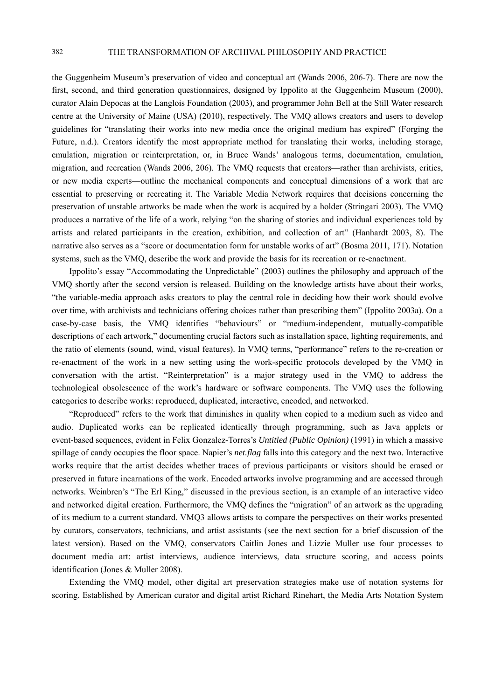the Guggenheim Museum's preservation of video and conceptual art (Wands 2006, 206-7). There are now the first, second, and third generation questionnaires, designed by Ippolito at the Guggenheim Museum (2000), curator Alain Depocas at the Langlois Foundation (2003), and programmer John Bell at the Still Water research centre at the University of Maine (USA) (2010), respectively. The VMQ allows creators and users to develop guidelines for "translating their works into new media once the original medium has expired" (Forging the Future, n.d.). Creators identify the most appropriate method for translating their works, including storage, emulation, migration or reinterpretation, or, in Bruce Wands' analogous terms, documentation, emulation, migration, and recreation (Wands 2006, 206). The VMQ requests that creators—rather than archivists, critics, or new media experts—outline the mechanical components and conceptual dimensions of a work that are essential to preserving or recreating it. The Variable Media Network requires that decisions concerning the preservation of unstable artworks be made when the work is acquired by a holder (Stringari 2003). The VMQ produces a narrative of the life of a work, relying "on the sharing of stories and individual experiences told by artists and related participants in the creation, exhibition, and collection of art" (Hanhardt 2003, 8). The narrative also serves as a "score or documentation form for unstable works of art" (Bosma 2011, 171). Notation systems, such as the VMQ, describe the work and provide the basis for its recreation or re-enactment.

Ippolito's essay "Accommodating the Unpredictable" (2003) outlines the philosophy and approach of the VMQ shortly after the second version is released. Building on the knowledge artists have about their works, "the variable-media approach asks creators to play the central role in deciding how their work should evolve over time, with archivists and technicians offering choices rather than prescribing them" (Ippolito 2003a). On a case-by-case basis, the VMQ identifies "behaviours" or "medium-independent, mutually-compatible descriptions of each artwork," documenting crucial factors such as installation space, lighting requirements, and the ratio of elements (sound, wind, visual features). In VMQ terms, "performance" refers to the re-creation or re-enactment of the work in a new setting using the work-specific protocols developed by the VMQ in conversation with the artist. "Reinterpretation" is a major strategy used in the VMQ to address the technological obsolescence of the work's hardware or software components. The VMQ uses the following categories to describe works: reproduced, duplicated, interactive, encoded, and networked.

"Reproduced" refers to the work that diminishes in quality when copied to a medium such as video and audio. Duplicated works can be replicated identically through programming, such as Java applets or event-based sequences, evident in Felix Gonzalez-Torres's *Untitled (Public Opinion)* (1991) in which a massive spillage of candy occupies the floor space. Napier's *net.flag* falls into this category and the next two. Interactive works require that the artist decides whether traces of previous participants or visitors should be erased or preserved in future incarnations of the work. Encoded artworks involve programming and are accessed through networks. Weinbren's "The Erl King," discussed in the previous section, is an example of an interactive video and networked digital creation. Furthermore, the VMQ defines the "migration" of an artwork as the upgrading of its medium to a current standard. VMQ3 allows artists to compare the perspectives on their works presented by curators, conservators, technicians, and artist assistants (see the next section for a brief discussion of the latest version). Based on the VMQ, conservators Caitlin Jones and Lizzie Muller use four processes to document media art: artist interviews, audience interviews, data structure scoring, and access points identification (Jones & Muller 2008).

Extending the VMQ model, other digital art preservation strategies make use of notation systems for scoring. Established by American curator and digital artist Richard Rinehart, the Media Arts Notation System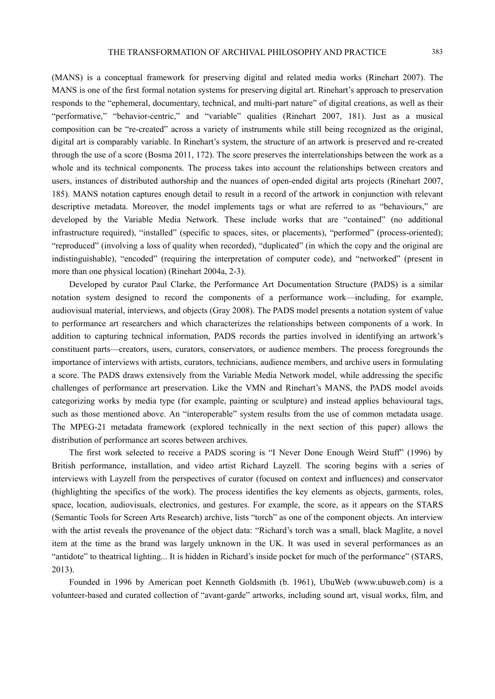(MANS) is a conceptual framework for preserving digital and related media works (Rinehart 2007). The MANS is one of the first formal notation systems for preserving digital art. Rinehart's approach to preservation responds to the "ephemeral, documentary, technical, and multi-part nature" of digital creations, as well as their "performative," "behavior-centric," and "variable" qualities (Rinehart 2007, 181). Just as a musical composition can be "re-created" across a variety of instruments while still being recognized as the original, digital art is comparably variable. In Rinehart's system, the structure of an artwork is preserved and re-created through the use of a score (Bosma 2011, 172). The score preserves the interrelationships between the work as a whole and its technical components. The process takes into account the relationships between creators and users, instances of distributed authorship and the nuances of open-ended digital arts projects (Rinehart 2007, 185). MANS notation captures enough detail to result in a record of the artwork in conjunction with relevant descriptive metadata. Moreover, the model implements tags or what are referred to as "behaviours," are developed by the Variable Media Network. These include works that are "contained" (no additional infrastructure required), "installed" (specific to spaces, sites, or placements), "performed" (process-oriented); "reproduced" (involving a loss of quality when recorded), "duplicated" (in which the copy and the original are indistinguishable), "encoded" (requiring the interpretation of computer code), and "networked" (present in more than one physical location) (Rinehart 2004a, 2-3).

Developed by curator Paul Clarke, the Performance Art Documentation Structure (PADS) is a similar notation system designed to record the components of a performance work—including, for example, audiovisual material, interviews, and objects (Gray 2008). The PADS model presents a notation system of value to performance art researchers and which characterizes the relationships between components of a work. In addition to capturing technical information, PADS records the parties involved in identifying an artwork's constituent parts—creators, users, curators, conservators, or audience members. The process foregrounds the importance of interviews with artists, curators, technicians, audience members, and archive users in formulating a score. The PADS draws extensively from the Variable Media Network model, while addressing the specific challenges of performance art preservation. Like the VMN and Rinehart's MANS, the PADS model avoids categorizing works by media type (for example, painting or sculpture) and instead applies behavioural tags, such as those mentioned above. An "interoperable" system results from the use of common metadata usage. The MPEG-21 metadata framework (explored technically in the next section of this paper) allows the distribution of performance art scores between archives.

The first work selected to receive a PADS scoring is "I Never Done Enough Weird Stuff" (1996) by British performance, installation, and video artist Richard Layzell. The scoring begins with a series of interviews with Layzell from the perspectives of curator (focused on context and influences) and conservator (highlighting the specifics of the work). The process identifies the key elements as objects, garments, roles, space, location, audiovisuals, electronics, and gestures. For example, the score, as it appears on the STARS (Semantic Tools for Screen Arts Research) archive, lists "torch" as one of the component objects. An interview with the artist reveals the provenance of the object data: "Richard's torch was a small, black Maglite, a novel item at the time as the brand was largely unknown in the UK. It was used in several performances as an "antidote" to theatrical lighting... It is hidden in Richard's inside pocket for much of the performance" (STARS, 2013).

Founded in 1996 by American poet Kenneth Goldsmith (b. 1961), UbuWeb (www.ubuweb.com) is a volunteer-based and curated collection of "avant-garde" artworks, including sound art, visual works, film, and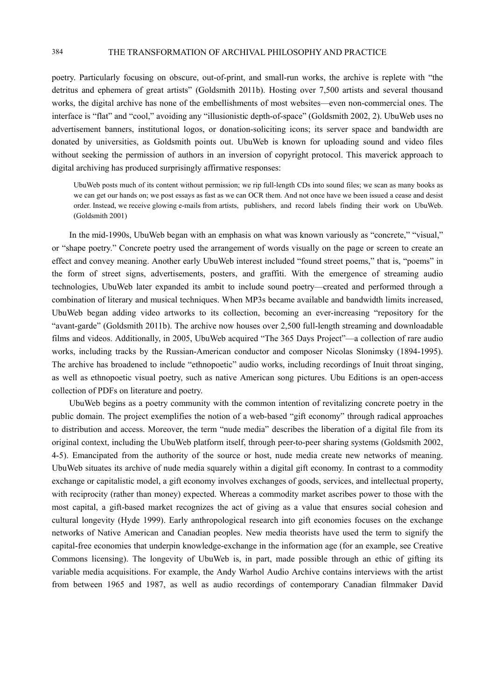poetry. Particularly focusing on obscure, out-of-print, and small-run works, the archive is replete with "the detritus and ephemera of great artists" (Goldsmith 2011b). Hosting over 7,500 artists and several thousand works, the digital archive has none of the embellishments of most websites—even non-commercial ones. The interface is "flat" and "cool," avoiding any "illusionistic depth-of-space" (Goldsmith 2002, 2). UbuWeb uses no advertisement banners, institutional logos, or donation-soliciting icons; its server space and bandwidth are donated by universities, as Goldsmith points out. UbuWeb is known for uploading sound and video files without seeking the permission of authors in an inversion of copyright protocol. This maverick approach to digital archiving has produced surprisingly affirmative responses:

UbuWeb posts much of its content without permission; we rip full-length CDs into sound files; we scan as many books as we can get our hands on; we post essays as fast as we can OCR them. And not once have we been issued a cease and desist order. Instead, we receive glowing e-mails from artists, publishers, and record labels finding their work on UbuWeb. (Goldsmith 2001)

In the mid-1990s, UbuWeb began with an emphasis on what was known variously as "concrete," "visual," or "shape poetry." Concrete poetry used the arrangement of words visually on the page or screen to create an effect and convey meaning. Another early UbuWeb interest included "found street poems," that is, "poems" in the form of street signs, advertisements, posters, and graffiti. With the emergence of streaming audio technologies, UbuWeb later expanded its ambit to include sound poetry—created and performed through a combination of literary and musical techniques. When MP3s became available and bandwidth limits increased, UbuWeb began adding video artworks to its collection, becoming an ever-increasing "repository for the "avant-garde" (Goldsmith 2011b). The archive now houses over 2,500 full-length streaming and downloadable films and videos. Additionally, in 2005, UbuWeb acquired "The 365 Days Project"—a collection of rare audio works, including tracks by the Russian-American conductor and composer Nicolas Slonimsky (1894-1995). The archive has broadened to include "ethnopoetic" audio works, including recordings of Inuit throat singing, as well as ethnopoetic visual poetry, such as native American song pictures. Ubu Editions is an open-access collection of PDFs on literature and poetry.

UbuWeb begins as a poetry community with the common intention of revitalizing concrete poetry in the public domain. The project exemplifies the notion of a web-based "gift economy" through radical approaches to distribution and access. Moreover, the term "nude media" describes the liberation of a digital file from its original context, including the UbuWeb platform itself, through peer-to-peer sharing systems (Goldsmith 2002, 4-5). Emancipated from the authority of the source or host, nude media create new networks of meaning. UbuWeb situates its archive of nude media squarely within a digital gift economy. In contrast to a commodity exchange or capitalistic model, a gift economy involves exchanges of goods, services, and intellectual property, with reciprocity (rather than money) expected. Whereas a commodity market ascribes power to those with the most capital, a gift-based market recognizes the act of giving as a value that ensures social cohesion and cultural longevity (Hyde 1999). Early anthropological research into gift economies focuses on the exchange networks of Native American and Canadian peoples. New media theorists have used the term to signify the capital-free economies that underpin knowledge-exchange in the information age (for an example, see Creative Commons licensing). The longevity of UbuWeb is, in part, made possible through an ethic of gifting its variable media acquisitions. For example, the Andy Warhol Audio Archive contains interviews with the artist from between 1965 and 1987, as well as audio recordings of contemporary Canadian filmmaker David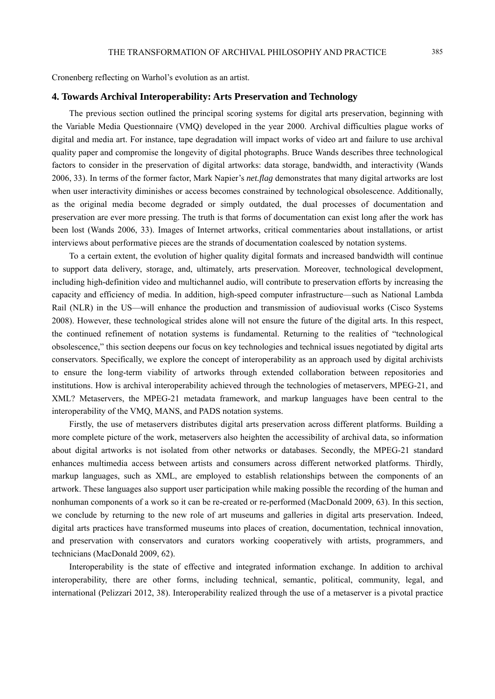Cronenberg reflecting on Warhol's evolution as an artist.

#### **4. Towards Archival Interoperability: Arts Preservation and Technology**

The previous section outlined the principal scoring systems for digital arts preservation, beginning with the Variable Media Questionnaire (VMQ) developed in the year 2000. Archival difficulties plague works of digital and media art. For instance, tape degradation will impact works of video art and failure to use archival quality paper and compromise the longevity of digital photographs. Bruce Wands describes three technological factors to consider in the preservation of digital artworks: data storage, bandwidth, and interactivity (Wands 2006, 33). In terms of the former factor, Mark Napier's *net.flag* demonstrates that many digital artworks are lost when user interactivity diminishes or access becomes constrained by technological obsolescence. Additionally, as the original media become degraded or simply outdated, the dual processes of documentation and preservation are ever more pressing. The truth is that forms of documentation can exist long after the work has been lost (Wands 2006, 33). Images of Internet artworks, critical commentaries about installations, or artist interviews about performative pieces are the strands of documentation coalesced by notation systems.

To a certain extent, the evolution of higher quality digital formats and increased bandwidth will continue to support data delivery, storage, and, ultimately, arts preservation. Moreover, technological development, including high-definition video and multichannel audio, will contribute to preservation efforts by increasing the capacity and efficiency of media. In addition, high-speed computer infrastructure—such as National Lambda Rail (NLR) in the US—will enhance the production and transmission of audiovisual works (Cisco Systems 2008). However, these technological strides alone will not ensure the future of the digital arts. In this respect, the continued refinement of notation systems is fundamental. Returning to the realities of "technological obsolescence," this section deepens our focus on key technologies and technical issues negotiated by digital arts conservators. Specifically, we explore the concept of interoperability as an approach used by digital archivists to ensure the long-term viability of artworks through extended collaboration between repositories and institutions. How is archival interoperability achieved through the technologies of metaservers, MPEG-21, and XML? Metaservers, the MPEG-21 metadata framework, and markup languages have been central to the interoperability of the VMQ, MANS, and PADS notation systems.

Firstly, the use of metaservers distributes digital arts preservation across different platforms. Building a more complete picture of the work, metaservers also heighten the accessibility of archival data, so information about digital artworks is not isolated from other networks or databases. Secondly, the MPEG-21 standard enhances multimedia access between artists and consumers across different networked platforms. Thirdly, markup languages, such as XML, are employed to establish relationships between the components of an artwork. These languages also support user participation while making possible the recording of the human and nonhuman components of a work so it can be re-created or re-performed (MacDonald 2009, 63). In this section, we conclude by returning to the new role of art museums and galleries in digital arts preservation. Indeed, digital arts practices have transformed museums into places of creation, documentation, technical innovation, and preservation with conservators and curators working cooperatively with artists, programmers, and technicians (MacDonald 2009, 62).

Interoperability is the state of effective and integrated information exchange. In addition to archival interoperability, there are other forms, including technical, semantic, political, community, legal, and international (Pelizzari 2012, 38). Interoperability realized through the use of a metaserver is a pivotal practice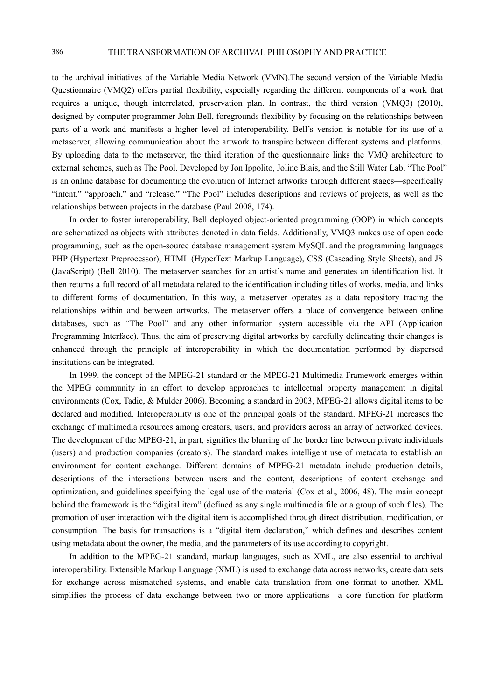to the archival initiatives of the Variable Media Network (VMN).The second version of the Variable Media Questionnaire (VMQ2) offers partial flexibility, especially regarding the different components of a work that requires a unique, though interrelated, preservation plan. In contrast, the third version (VMQ3) (2010), designed by computer programmer John Bell, foregrounds flexibility by focusing on the relationships between parts of a work and manifests a higher level of interoperability. Bell's version is notable for its use of a metaserver, allowing communication about the artwork to transpire between different systems and platforms. By uploading data to the metaserver, the third iteration of the questionnaire links the VMQ architecture to external schemes, such as The Pool. Developed by Jon Ippolito, Joline Blais, and the Still Water Lab, "The Pool" is an online database for documenting the evolution of Internet artworks through different stages—specifically "intent," "approach," and "release." "The Pool" includes descriptions and reviews of projects, as well as the relationships between projects in the database (Paul 2008, 174).

In order to foster interoperability, Bell deployed object-oriented programming (OOP) in which concepts are schematized as objects with attributes denoted in data fields. Additionally, VMQ3 makes use of open code programming, such as the open-source database management system MySQL and the programming languages PHP (Hypertext Preprocessor), HTML (HyperText Markup Language), CSS (Cascading Style Sheets), and JS (JavaScript) (Bell 2010). The metaserver searches for an artist's name and generates an identification list. It then returns a full record of all metadata related to the identification including titles of works, media, and links to different forms of documentation. In this way, a metaserver operates as a data repository tracing the relationships within and between artworks. The metaserver offers a place of convergence between online databases, such as "The Pool" and any other information system accessible via the API (Application Programming Interface). Thus, the aim of preserving digital artworks by carefully delineating their changes is enhanced through the principle of interoperability in which the documentation performed by dispersed institutions can be integrated.

In 1999, the concept of the MPEG-21 standard or the MPEG-21 Multimedia Framework emerges within the MPEG community in an effort to develop approaches to intellectual property management in digital environments (Cox, Tadic, & Mulder 2006). Becoming a standard in 2003, MPEG-21 allows digital items to be declared and modified. Interoperability is one of the principal goals of the standard. MPEG-21 increases the exchange of multimedia resources among creators, users, and providers across an array of networked devices. The development of the MPEG-21, in part, signifies the blurring of the border line between private individuals (users) and production companies (creators). The standard makes intelligent use of metadata to establish an environment for content exchange. Different domains of MPEG-21 metadata include production details, descriptions of the interactions between users and the content, descriptions of content exchange and optimization, and guidelines specifying the legal use of the material (Cox et al., 2006, 48). The main concept behind the framework is the "digital item" (defined as any single multimedia file or a group of such files). The promotion of user interaction with the digital item is accomplished through direct distribution, modification, or consumption. The basis for transactions is a "digital item declaration," which defines and describes content using metadata about the owner, the media, and the parameters of its use according to copyright.

In addition to the MPEG-21 standard, markup languages, such as XML, are also essential to archival interoperability. Extensible Markup Language (XML) is used to exchange data across networks, create data sets for exchange across mismatched systems, and enable data translation from one format to another. XML simplifies the process of data exchange between two or more applications—a core function for platform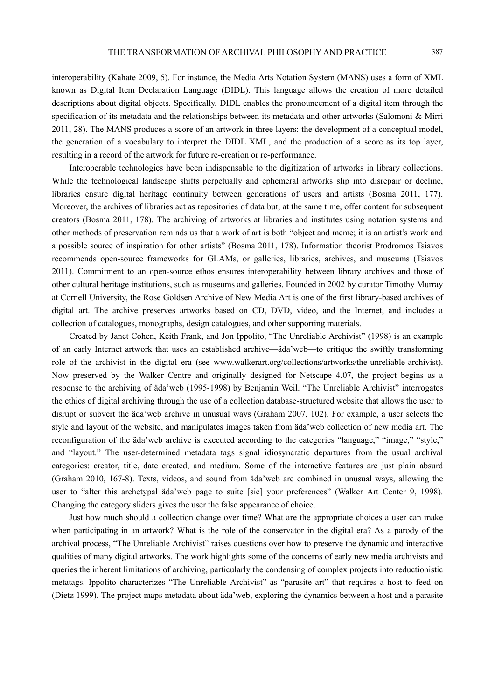interoperability (Kahate 2009, 5). For instance, the Media Arts Notation System (MANS) uses a form of XML known as Digital Item Declaration Language (DIDL). This language allows the creation of more detailed descriptions about digital objects. Specifically, DIDL enables the pronouncement of a digital item through the specification of its metadata and the relationships between its metadata and other artworks (Salomoni & Mirri 2011, 28). The MANS produces a score of an artwork in three layers: the development of a conceptual model, the generation of a vocabulary to interpret the DIDL XML, and the production of a score as its top layer, resulting in a record of the artwork for future re-creation or re-performance.

Interoperable technologies have been indispensable to the digitization of artworks in library collections. While the technological landscape shifts perpetually and ephemeral artworks slip into disrepair or decline, libraries ensure digital heritage continuity between generations of users and artists (Bosma 2011, 177). Moreover, the archives of libraries act as repositories of data but, at the same time, offer content for subsequent creators (Bosma 2011, 178). The archiving of artworks at libraries and institutes using notation systems and other methods of preservation reminds us that a work of art is both "object and meme; it is an artist's work and a possible source of inspiration for other artists" (Bosma 2011, 178). Information theorist Prodromos Tsiavos recommends open-source frameworks for GLAMs, or galleries, libraries, archives, and museums (Tsiavos 2011). Commitment to an open-source ethos ensures interoperability between library archives and those of other cultural heritage institutions, such as museums and galleries. Founded in 2002 by curator Timothy Murray at Cornell University, the Rose Goldsen Archive of New Media Art is one of the first library-based archives of digital art. The archive preserves artworks based on CD, DVD, video, and the Internet, and includes a collection of catalogues, monographs, design catalogues, and other supporting materials.

Created by Janet Cohen, Keith Frank, and Jon Ippolito, "The Unreliable Archivist" (1998) is an example of an early Internet artwork that uses an established archive—äda'web—to critique the swiftly transforming role of the archivist in the digital era (see www.walkerart.org/collections/artworks/the-unreliable-archivist). Now preserved by the Walker Centre and originally designed for Netscape 4.07, the project begins as a response to the archiving of äda'web (1995-1998) by Benjamin Weil. "The Unreliable Archivist" interrogates the ethics of digital archiving through the use of a collection database-structured website that allows the user to disrupt or subvert the äda'web archive in unusual ways (Graham 2007, 102). For example, a user selects the style and layout of the website, and manipulates images taken from äda'web collection of new media art. The reconfiguration of the äda'web archive is executed according to the categories "language," "image," "style," and "layout." The user-determined metadata tags signal idiosyncratic departures from the usual archival categories: creator, title, date created, and medium. Some of the interactive features are just plain absurd (Graham 2010, 167-8). Texts, videos, and sound from äda'web are combined in unusual ways, allowing the user to "alter this archetypal äda'web page to suite [sic] your preferences" (Walker Art Center 9, 1998). Changing the category sliders gives the user the false appearance of choice.

Just how much should a collection change over time? What are the appropriate choices a user can make when participating in an artwork? What is the role of the conservator in the digital era? As a parody of the archival process, "The Unreliable Archivist" raises questions over how to preserve the dynamic and interactive qualities of many digital artworks. The work highlights some of the concerns of early new media archivists and queries the inherent limitations of archiving, particularly the condensing of complex projects into reductionistic metatags. Ippolito characterizes "The Unreliable Archivist" as "parasite art" that requires a host to feed on (Dietz 1999). The project maps metadata about äda'web, exploring the dynamics between a host and a parasite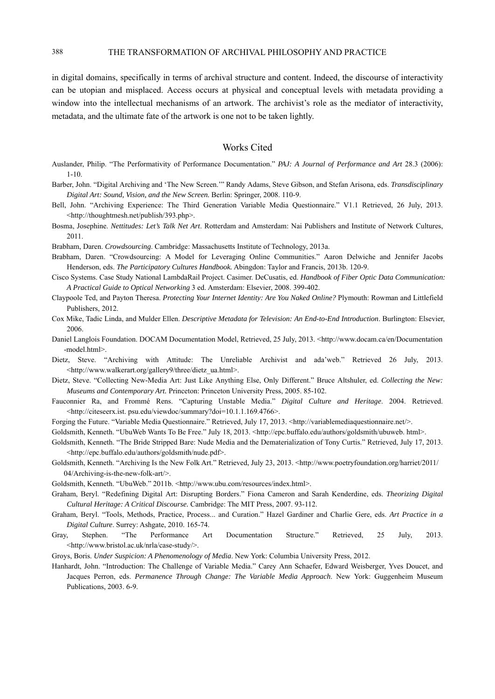in digital domains, specifically in terms of archival structure and content. Indeed, the discourse of interactivity can be utopian and misplaced. Access occurs at physical and conceptual levels with metadata providing a window into the intellectual mechanisms of an artwork. The archivist's role as the mediator of interactivity, metadata, and the ultimate fate of the artwork is one not to be taken lightly.

#### Works Cited

- Auslander, Philip. "The Performativity of Performance Documentation." *PAJ: A Journal of Performance and Art* 28.3 (2006): 1-10.
- Barber, John. "Digital Archiving and 'The New Screen.'" Randy Adams, Steve Gibson, and Stefan Arisona, eds. *Transdisciplinary Digital Art: Sound, Vision, and the New Screen.* Berlin: Springer, 2008. 110-9.
- Bell, John. "Archiving Experience: The Third Generation Variable Media Questionnaire." V1.1 Retrieved, 26 July, 2013. <http://thoughtmesh.net/publish/393.php>.
- Bosma, Josephine. *Nettitudes: Let's Talk Net Art*. Rotterdam and Amsterdam: Nai Publishers and Institute of Network Cultures, 2011.
- Brabham, Daren. *Crowdsourcing*. Cambridge: Massachusetts Institute of Technology, 2013a.
- Brabham, Daren. "Crowdsourcing: A Model for Leveraging Online Communities." Aaron Delwiche and Jennifer Jacobs Henderson, eds. *The Participatory Cultures Handbook.* Abingdon: Taylor and Francis, 2013b. 120-9.
- Cisco Systems. Case Study National LambdaRail Project. Casimer. DeCusatis, ed. *Handbook of Fiber Optic Data Communication: A Practical Guide to Optical Networking* 3 ed. Amsterdam: Elsevier, 2008. 399-402.
- Claypoole Ted, and Payton Theresa. *Protecting Your Internet Identity: Are You Naked Online?* Plymouth: Rowman and Littlefield Publishers, 2012.
- Cox Mike, Tadic Linda, and Mulder Ellen. *Descriptive Metadata for Television: An End-to-End Introduction*. Burlington: Elsevier, 2006.
- Daniel Langlois Foundation. DOCAM Documentation Model, Retrieved, 25 July, 2013. <http://www.docam.ca/en/Documentation -model.html>.
- Dietz, Steve. "Archiving with Attitude: The Unreliable Archivist and ada'web." Retrieved 26 July, 2013. <http://www.walkerart.org/gallery9/three/dietz\_ua.html>.
- Dietz, Steve. "Collecting New-Media Art: Just Like Anything Else, Only Different." Bruce Altshuler, ed. *Collecting the New: Museums and Contemporary Art.* Princeton: Princeton University Press, 2005. 85-102.
- Fauconnier Ra, and Frommé Rens. "Capturing Unstable Media." *Digital Culture and Heritage*. 2004. Retrieved. <http://citeseerx.ist. psu.edu/viewdoc/summary?doi=10.1.1.169.4766>.
- Forging the Future. "Variable Media Questionnaire." Retrieved, July 17, 2013. <http://variablemediaquestionnaire.net/>.
- Goldsmith, Kenneth. "UbuWeb Wants To Be Free." July 18, 2013. <http://epc.buffalo.edu/authors/goldsmith/ubuweb. html>.
- Goldsmith, Kenneth. "The Bride Stripped Bare: Nude Media and the Dematerialization of Tony Curtis." Retrieved, July 17, 2013. <http://epc.buffalo.edu/authors/goldsmith/nude.pdf>.
- Goldsmith, Kenneth. "Archiving Is the New Folk Art." Retrieved, July 23, 2013. <http://www.poetryfoundation.org/harriet/2011/ 04/Archiving-is-the-new-folk-art/>.
- Goldsmith, Kenneth. "UbuWeb." 2011b. <http://www.ubu.com/resources/index.html>.
- Graham, Beryl. "Redefining Digital Art: Disrupting Borders." Fiona Cameron and Sarah Kenderdine, eds. *Theorizing Digital Cultural Heritage: A Critical Discourse.* Cambridge: The MIT Press, 2007. 93-112.
- Graham, Beryl. "Tools, Methods, Practice, Process... and Curation." Hazel Gardiner and Charlie Gere, eds. *Art Practice in a Digital Culture*. Surrey: Ashgate, 2010. 165-74.
- Gray, Stephen. "The Performance Art Documentation Structure." Retrieved, 25 July, 2013. <http://www.bristol.ac.uk/nrla/case-study/>.
- Groys, Boris. *Under Suspicion: A Phenomenology of Media*. New York: Columbia University Press, 2012.
- Hanhardt, John. "Introduction: The Challenge of Variable Media." Carey Ann Schaefer, Edward Weisberger, Yves Doucet, and Jacques Perron, eds. *Permanence Through Change: The Variable Media Approach*. New York: Guggenheim Museum Publications, 2003. 6-9.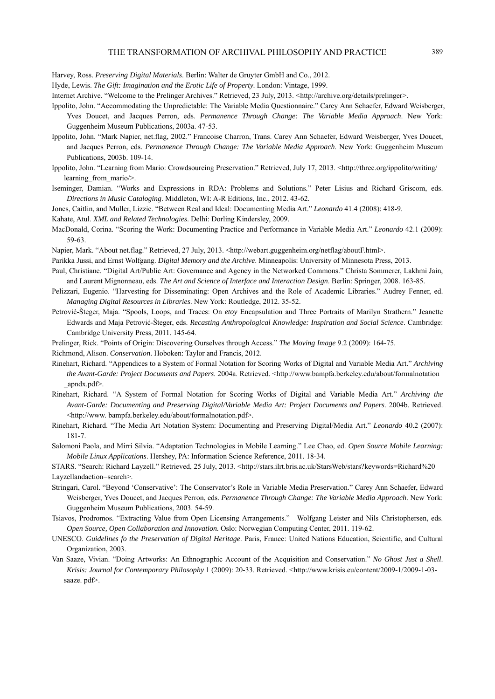### THE TRANSFORMATION OF ARCHIVAL PHILOSOPHY AND PRACTICE 389

Harvey, Ross. *Preserving Digital Materials*. Berlin: Walter de Gruyter GmbH and Co., 2012.

Hyde, Lewis. *The Gift: Imagination and the Erotic Life of Property*. London: Vintage, 1999.

Internet Archive. "Welcome to the Prelinger Archives." Retrieved, 23 July, 2013. <http://archive.org/details/prelinger>.

- Ippolito, John. "Accommodating the Unpredictable: The Variable Media Questionnaire." Carey Ann Schaefer, Edward Weisberger, Yves Doucet, and Jacques Perron, eds. *Permanence Through Change: The Variable Media Approach*. New York: Guggenheim Museum Publications, 2003a. 47-53.
- Ippolito, John. "Mark Napier, net.flag, 2002." Francoise Charron, Trans. Carey Ann Schaefer, Edward Weisberger, Yves Doucet, and Jacques Perron, eds. *Permanence Through Change: The Variable Media Approach*. New York: Guggenheim Museum Publications, 2003b. 109-14.
- Ippolito, John. "Learning from Mario: Crowdsourcing Preservation." Retrieved, July 17, 2013. <http://three.org/ippolito/writing/ learning from mario/>.

Iseminger, Damian. "Works and Expressions in RDA: Problems and Solutions." Peter Lisius and Richard Griscom, eds. *Directions in Music Cataloging*. Middleton, WI: A-R Editions, Inc., 2012. 43-62.

Jones, Caitlin, and Muller, Lizzie. "Between Real and Ideal: Documenting Media Art." *Leonardo* 41.4 (2008): 418-9.

Kahate, Atul. *XML and Related Technologies*. Delhi: Dorling Kindersley, 2009.

MacDonald, Corina. "Scoring the Work: Documenting Practice and Performance in Variable Media Art." *Leonardo* 42.1 (2009): 59-63.

Napier, Mark. "About net.flag." Retrieved, 27 July, 2013. <http://webart.guggenheim.org/netflag/aboutF.html>.

- Parikka Jussi, and Ernst Wolfgang. *Digital Memory and the Archive*. Minneapolis: University of Minnesota Press, 2013.
- Paul, Christiane. "Digital Art/Public Art: Governance and Agency in the Networked Commons." Christa Sommerer, Lakhmi Jain, and Laurent Mignonneau, eds. *The Art and Science of Interface and Interaction Design*. Berlin: Springer, 2008. 163-85.
- Pelizzari, Eugenio. "Harvesting for Disseminating: Open Archives and the Role of Academic Libraries." Audrey Fenner, ed. *Managing Digital Resources in Libraries*. New York: Routledge, 2012. 35-52.
- Petrović-Šteger, Maja. "Spools, Loops, and Traces: On *etoy* Encapsulation and Three Portraits of Marilyn Strathern." Jeanette Edwards and Maja Petrović-Šteger, eds. *Recasting Anthropological Knowledge: Inspiration and Social Science*. Cambridge: Cambridge University Press, 2011. 145-64.
- Prelinger, Rick. "Points of Origin: Discovering Ourselves through Access." *The Moving Image* 9.2 (2009): 164-75.
- Richmond, Alison. *Conservation*. Hoboken: Taylor and Francis, 2012.
- Rinehart, Richard. "Appendices to a System of Formal Notation for Scoring Works of Digital and Variable Media Art." *Archiving the Avant-Garde: Project Documents and Papers*. 2004a. Retrieved. <http://www.bampfa.berkeley.edu/about/formalnotation \_apndx.pdf>.
- Rinehart, Richard. "A System of Formal Notation for Scoring Works of Digital and Variable Media Art." *Archiving the Avant-Garde: Documenting and Preserving Digital/Variable Media Art: Project Documents and Papers*. 2004b. Retrieved. <http://www. bampfa.berkeley.edu/about/formalnotation.pdf>.
- Rinehart, Richard. "The Media Art Notation System: Documenting and Preserving Digital/Media Art." *Leonardo* 40.2 (2007): 181-7.
- Salomoni Paola, and Mirri Silvia. "Adaptation Technologies in Mobile Learning." Lee Chao, ed. *Open Source Mobile Learning: Mobile Linux Applications*. Hershey, PA: Information Science Reference, 2011. 18-34.

STARS. "Search: Richard Layzell." Retrieved, 25 July, 2013. <http://stars.ilrt.bris.ac.uk/StarsWeb/stars?keywords=Richard%20 Layzellandaction=search>.

- Stringari, Carol. "Beyond 'Conservative': The Conservator's Role in Variable Media Preservation." Carey Ann Schaefer, Edward Weisberger, Yves Doucet, and Jacques Perron, eds. *Permanence Through Change: The Variable Media Approach*. New York: Guggenheim Museum Publications, 2003. 54-59.
- Tsiavos, Prodromos. "Extracting Value from Open Licensing Arrangements." Wolfgang Leister and Nils Christophersen, eds. *Open Source, Open Collaboration and Innovation*. Oslo: Norwegian Computing Center, 2011. 119-62.
- UNESCO. *Guidelines fo the Preservation of Digital Heritage*. Paris, France: United Nations Education, Scientific, and Cultural Organization, 2003.
- Van Saaze, Vivian. "Doing Artworks: An Ethnographic Account of the Acquisition and Conservation." *No Ghost Just a Shell*. *Krisis: Journal for Contemporary Philosophy* 1 (2009): 20-33. Retrieved. <http://www.krisis.eu/content/2009-1/2009-1-03 saaze. pdf>.